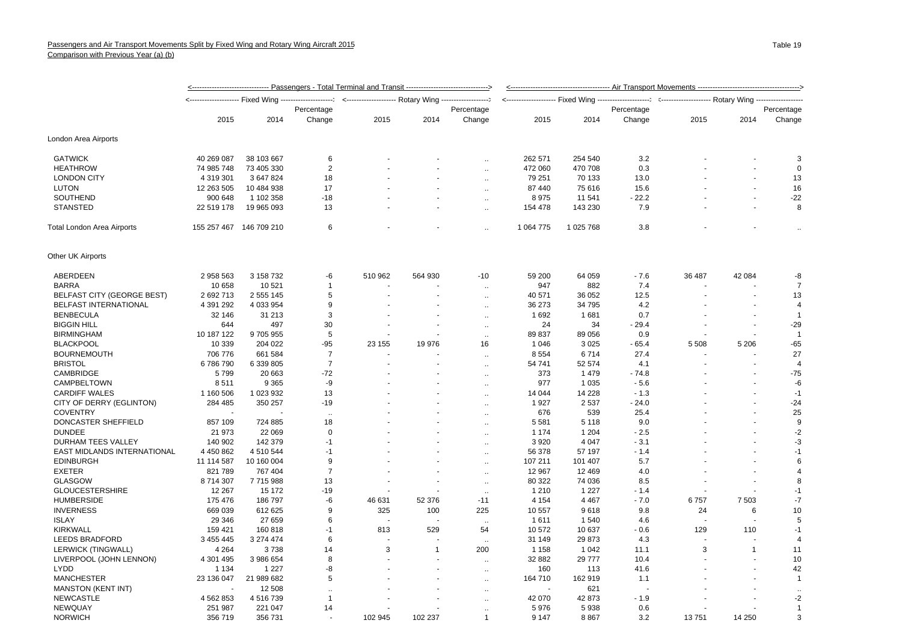|                              |                         |            | <-------------------------------- Passengers - Total Terminal and Transit ------------------------------> |         |            |                      |              |           |             |         |              |                      |
|------------------------------|-------------------------|------------|-----------------------------------------------------------------------------------------------------------|---------|------------|----------------------|--------------|-----------|-------------|---------|--------------|----------------------|
|                              |                         |            |                                                                                                           |         |            |                      |              |           | ----------- |         |              |                      |
|                              |                         |            | Percentage                                                                                                |         | Percentage |                      |              |           | Percentage  |         |              | Percentage           |
|                              | 2015                    | 2014       | Change                                                                                                    | 2015    | 2014       | Change               | 2015         | 2014      | Change      | 2015    | 2014         | Change               |
| London Area Airports         |                         |            |                                                                                                           |         |            |                      |              |           |             |         |              |                      |
| <b>GATWICK</b>               | 40 269 087              | 38 103 667 | 6                                                                                                         |         |            | $\ddotsc$            | 262 571      | 254 540   | 3.2         |         |              | 3                    |
| <b>HEATHROW</b>              | 74 985 748              | 73 405 330 | $\overline{2}$                                                                                            |         |            | $\ddotsc$            | 472 060      | 470 708   | 0.3         |         |              | $\mathbf 0$          |
| <b>LONDON CITY</b>           | 4 319 301               | 3 647 824  | 18                                                                                                        |         |            | $\sim$               | 79 251       | 70 133    | 13.0        |         |              | 13                   |
| <b>LUTON</b>                 | 12 263 505              | 10 484 938 | 17                                                                                                        |         |            | ٠.                   | 87 440       | 75 616    | 15.6        |         | ÷            | 16                   |
| <b>SOUTHEND</b>              | 900 648                 | 1 102 358  | $-18$                                                                                                     |         |            | ÷.                   | 8975         | 11 541    | $-22.2$     |         |              | -22                  |
| <b>STANSTED</b>              | 22 519 178              | 19 965 093 | 13                                                                                                        |         |            | $\ddot{\phantom{a}}$ | 154 478      | 143 230   | 7.9         |         |              | 8                    |
| Total London Area Airports   | 155 257 467 146 709 210 |            | 6                                                                                                         |         |            |                      | 1 0 64 7 7 5 | 1 025 768 | 3.8         |         |              |                      |
| Other UK Airports            |                         |            |                                                                                                           |         |            |                      |              |           |             |         |              |                      |
| ABERDEEN                     | 2 958 563               | 3 158 732  | -6                                                                                                        | 510 962 | 564 930    | $-10$                | 59 200       | 64 059    | $-7.6$      | 36 487  | 42 084       | -8                   |
| <b>BARRA</b>                 | 10 658                  | 10 521     | $\overline{1}$                                                                                            |         |            | ÷.                   | 947          | 882       | 7.4         |         |              | $\overline{7}$       |
| BELFAST CITY (GEORGE BEST)   | 2 692 713               | 2 555 145  | 5                                                                                                         |         |            | ÷.                   | 40 571       | 36 052    | 12.5        |         |              | 13                   |
| <b>BELFAST INTERNATIONAL</b> | 4 391 292               | 4 033 954  | 9                                                                                                         |         |            |                      | 36 273       | 34 795    | 4.2         |         |              | $\overline{4}$       |
| <b>BENBECULA</b>             | 32 146                  | 31 213     | 3                                                                                                         |         |            | $\ddot{\phantom{a}}$ | 1692         | 1681      | 0.7         |         |              | $\overline{1}$       |
| <b>BIGGIN HILL</b>           | 644                     | 497        | 30                                                                                                        |         |            | $\ddotsc$            | 24           | 34        | $-29.4$     |         |              | $-29$                |
|                              |                         |            | 5                                                                                                         |         |            | $\ddotsc$            |              |           |             |         |              | $\overline{1}$       |
| <b>BIRMINGHAM</b>            | 10 187 122              | 9705955    |                                                                                                           |         |            | $\sim$               | 89 837       | 89 056    | 0.9         |         |              |                      |
| <b>BLACKPOOL</b>             | 10 339                  | 204 022    | $-95$                                                                                                     | 23 155  | 19 976     | 16                   | 1 0 4 6      | 3 0 2 5   | $-65.4$     | 5 5 0 8 | 5 2 0 6      | $-65$                |
| <b>BOURNEMOUTH</b>           | 706 776                 | 661 584    | $\overline{7}$                                                                                            |         |            | $\ddot{\phantom{a}}$ | 8 5 5 4      | 6714      | 27.4        |         |              | 27                   |
| <b>BRISTOL</b>               | 6786790                 | 6 339 805  | $\overline{7}$                                                                                            |         |            | $\ddotsc$            | 54 741       | 52 574    | 4.1         |         |              | $\overline{4}$       |
| CAMBRIDGE                    | 5799                    | 20 663     | $-72$                                                                                                     |         |            | $\ddotsc$            | 373          | 1479      | $-74.8$     |         |              | $-75$                |
| CAMPBELTOWN                  | 8511                    | 9 3 6 5    | -9                                                                                                        |         |            | $\ddot{\phantom{1}}$ | 977          | 1 0 3 5   | $-5.6$      |         |              | -6                   |
| <b>CARDIFF WALES</b>         | 1 160 506               | 1 023 932  | 13                                                                                                        |         |            | $\ddot{\phantom{1}}$ | 14 044       | 14 2 28   | $-1.3$      |         |              | $-1$                 |
| CITY OF DERRY (EGLINTON)     | 284 485                 | 350 257    | $-19$                                                                                                     |         |            | ÷.                   | 1927         | 2537      | $-24.0$     |         |              | $-24$                |
| <b>COVENTRY</b>              |                         |            |                                                                                                           |         |            | $\ddotsc$            | 676          | 539       | 25.4        |         |              | 25                   |
| DONCASTER SHEFFIELD          | 857 109                 | 724 885    | 18                                                                                                        |         |            | $\ddot{\phantom{a}}$ | 5 5 8 1      | 5 1 1 8   | 9.0         |         |              | 9                    |
| <b>DUNDEE</b>                | 21 973                  | 22 069     | $\mathbf 0$                                                                                               |         |            | $\ddotsc$            | 1 1 7 4      | 1 204     | $-2.5$      |         |              | $-2$                 |
| DURHAM TEES VALLEY           | 140 902                 | 142 379    | $-1$                                                                                                      |         |            | $\ddotsc$            | 3 9 2 0      | 4 0 4 7   | $-3.1$      |         |              | $-3$                 |
| EAST MIDLANDS INTERNATIONAL  | 4 450 862               | 4 510 544  | $-1$                                                                                                      |         |            | $\ddotsc$            | 56 378       | 57 197    | $-1.4$      |         |              | $-1$                 |
| <b>EDINBURGH</b>             | 11 114 587              | 10 160 004 | 9                                                                                                         |         |            | $\ddot{\phantom{a}}$ | 107 211      | 101 407   | 5.7         |         |              | 6                    |
| <b>EXETER</b>                | 821 789                 | 767 404    | $\overline{7}$                                                                                            |         |            | ÷.                   | 12 967       | 12 4 69   | 4.0         |         |              | $\overline{4}$       |
| <b>GLASGOW</b>               | 8714307                 | 7715988    | 13                                                                                                        |         |            | $\ddotsc$            | 80 322       | 74 036    | 8.5         |         |              | 8                    |
| <b>GLOUCESTERSHIRE</b>       | 12 267                  | 15 172     | $-19$                                                                                                     |         |            | $\ddotsc$            | 1 2 1 0      | 1 2 2 7   | $-1.4$      |         |              | $-1$                 |
| <b>HUMBERSIDE</b>            | 175 476                 | 186 797    | -6                                                                                                        | 46 631  | 52 376     | $-11$                | 4 1 5 4      | 4 4 6 7   | $-7.0$      | 6757    | 7 503        | $-7$                 |
| <b>INVERNESS</b>             | 669 039                 | 612 625    | 9                                                                                                         | 325     | 100        | 225                  | 10 557       | 9618      | 9.8         | 24      | 6            | 10                   |
| <b>ISLAY</b>                 | 29 346                  | 27 659     | 6                                                                                                         |         |            | $\ddotsc$            | 1611         | 1540      | 4.6         |         |              | 5                    |
| KIRKWALL                     | 159 421                 | 160 818    | $-1$                                                                                                      | 813     | 529        | 54                   | 10 572       | 10 637    | - 0.6       | 129     | 110          | $-1$                 |
| <b>LEEDS BRADFORD</b>        | 3 455 445               | 3 274 474  | 6                                                                                                         |         |            | $\ddotsc$            | 31 149       | 29 873    | 4.3         |         |              | $\overline{4}$       |
| <b>LERWICK (TINGWALL)</b>    | 4 2 6 4                 | 3738       | 14                                                                                                        | 3       | -1         | 200                  | 1 1 5 8      | 1 0 4 2   | 11.1        | 3       | $\mathbf{1}$ | 11                   |
| LIVERPOOL (JOHN LENNON)      | 4 301 495               | 3 986 654  | 8                                                                                                         |         |            | $\ddot{\phantom{a}}$ | 32 882       | 29 777    | 10.4        |         |              | 10                   |
| <b>LYDD</b>                  | 1 1 3 4                 | 1 2 2 7    | -8                                                                                                        |         |            |                      | 160          | 113       | 41.6        |         | ÷.           | 42                   |
| <b>MANCHESTER</b>            | 23 136 047              | 21 989 682 | 5                                                                                                         |         |            | $\ddot{\phantom{a}}$ | 164 710      | 162 919   | 1.1         |         |              | $\overline{1}$       |
| <b>MANSTON (KENT INT)</b>    |                         | 12 508     |                                                                                                           |         |            | $\ddot{\phantom{a}}$ |              | 621       |             |         |              |                      |
|                              |                         |            | $\ddotsc$<br>$\overline{\mathbf{1}}$                                                                      |         |            | $\ddotsc$            |              |           |             |         |              | $\ddot{\phantom{a}}$ |
| <b>NEWCASTLE</b>             | 4 5 6 2 8 5 3           | 4516739    |                                                                                                           |         |            |                      | 42 070       | 42 873    | $-1.9$      |         |              | $-2$                 |
| NEWQUAY                      | 251 987                 | 221 047    | 14                                                                                                        |         |            | $\ddotsc$            | 5976         | 5938      | 0.6         |         |              | $\mathbf{1}$         |
| <b>NORWICH</b>               | 356719                  | 356 731    |                                                                                                           | 102 945 | 102 237    | -1                   | 9 1 4 7      | 8867      | 3.2         | 13751   | 14 250       | 3                    |